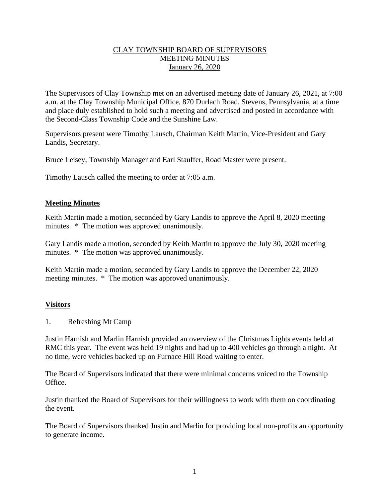## CLAY TOWNSHIP BOARD OF SUPERVISORS MEETING MINUTES January 26, 2020

The Supervisors of Clay Township met on an advertised meeting date of January 26, 2021, at 7:00 a.m. at the Clay Township Municipal Office, 870 Durlach Road, Stevens, Pennsylvania, at a time and place duly established to hold such a meeting and advertised and posted in accordance with the Second-Class Township Code and the Sunshine Law.

Supervisors present were Timothy Lausch, Chairman Keith Martin, Vice-President and Gary Landis, Secretary.

Bruce Leisey, Township Manager and Earl Stauffer, Road Master were present.

Timothy Lausch called the meeting to order at 7:05 a.m.

## **Meeting Minutes**

Keith Martin made a motion, seconded by Gary Landis to approve the April 8, 2020 meeting minutes. \* The motion was approved unanimously.

Gary Landis made a motion, seconded by Keith Martin to approve the July 30, 2020 meeting minutes. \* The motion was approved unanimously.

Keith Martin made a motion, seconded by Gary Landis to approve the December 22, 2020 meeting minutes. \* The motion was approved unanimously.

# **Visitors**

1. Refreshing Mt Camp

Justin Harnish and Marlin Harnish provided an overview of the Christmas Lights events held at RMC this year. The event was held 19 nights and had up to 400 vehicles go through a night. At no time, were vehicles backed up on Furnace Hill Road waiting to enter.

The Board of Supervisors indicated that there were minimal concerns voiced to the Township Office.

Justin thanked the Board of Supervisors for their willingness to work with them on coordinating the event.

The Board of Supervisors thanked Justin and Marlin for providing local non-profits an opportunity to generate income.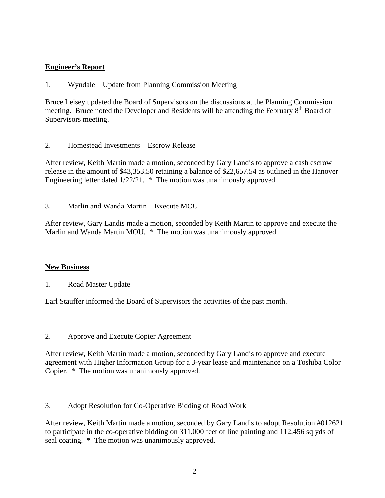# **Engineer's Report**

1. Wyndale – Update from Planning Commission Meeting

Bruce Leisey updated the Board of Supervisors on the discussions at the Planning Commission meeting. Bruce noted the Developer and Residents will be attending the February 8<sup>th</sup> Board of Supervisors meeting.

2. Homestead Investments – Escrow Release

After review, Keith Martin made a motion, seconded by Gary Landis to approve a cash escrow release in the amount of \$43,353.50 retaining a balance of \$22,657.54 as outlined in the Hanover Engineering letter dated 1/22/21. \* The motion was unanimously approved.

3. Marlin and Wanda Martin – Execute MOU

After review, Gary Landis made a motion, seconded by Keith Martin to approve and execute the Marlin and Wanda Martin MOU. \* The motion was unanimously approved.

### **New Business**

1. Road Master Update

Earl Stauffer informed the Board of Supervisors the activities of the past month.

### 2. Approve and Execute Copier Agreement

After review, Keith Martin made a motion, seconded by Gary Landis to approve and execute agreement with Higher Information Group for a 3-year lease and maintenance on a Toshiba Color Copier. \* The motion was unanimously approved.

3. Adopt Resolution for Co-Operative Bidding of Road Work

After review, Keith Martin made a motion, seconded by Gary Landis to adopt Resolution #012621 to participate in the co-operative bidding on 311,000 feet of line painting and 112,456 sq yds of seal coating. \* The motion was unanimously approved.